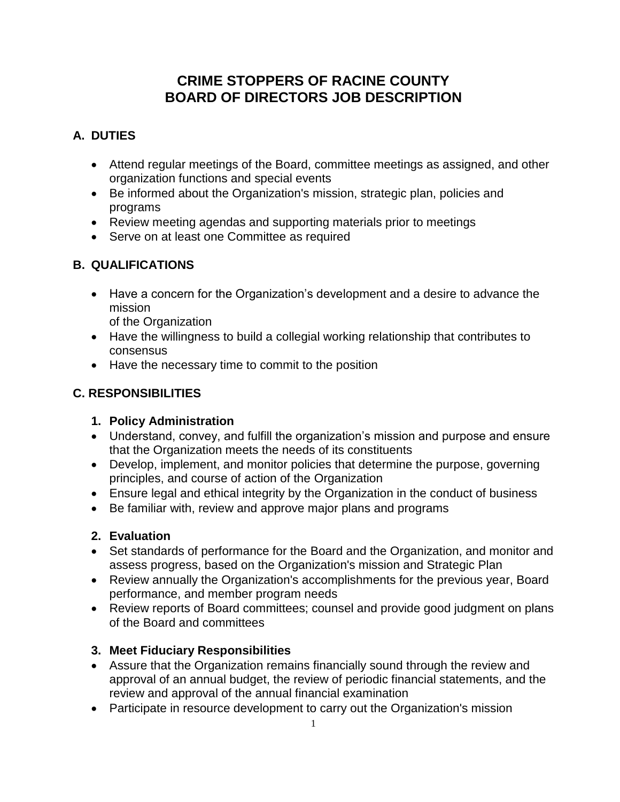# **CRIME STOPPERS OF RACINE COUNTY BOARD OF DIRECTORS JOB DESCRIPTION**

## **A. DUTIES**

- Attend regular meetings of the Board, committee meetings as assigned, and other organization functions and special events
- Be informed about the Organization's mission, strategic plan, policies and programs
- Review meeting agendas and supporting materials prior to meetings
- Serve on at least one Committee as required

### **B. QUALIFICATIONS**

 Have a concern for the Organization's development and a desire to advance the mission

of the Organization

- Have the willingness to build a collegial working relationship that contributes to consensus
- Have the necessary time to commit to the position

### **C. RESPONSIBILITIES**

### **1. Policy Administration**

- Understand, convey, and fulfill the organization's mission and purpose and ensure that the Organization meets the needs of its constituents
- Develop, implement, and monitor policies that determine the purpose, governing principles, and course of action of the Organization
- Ensure legal and ethical integrity by the Organization in the conduct of business
- Be familiar with, review and approve major plans and programs

### **2. Evaluation**

- Set standards of performance for the Board and the Organization, and monitor and assess progress, based on the Organization's mission and Strategic Plan
- Review annually the Organization's accomplishments for the previous year, Board performance, and member program needs
- Review reports of Board committees; counsel and provide good judgment on plans of the Board and committees

### **3. Meet Fiduciary Responsibilities**

- Assure that the Organization remains financially sound through the review and approval of an annual budget, the review of periodic financial statements, and the review and approval of the annual financial examination
- Participate in resource development to carry out the Organization's mission